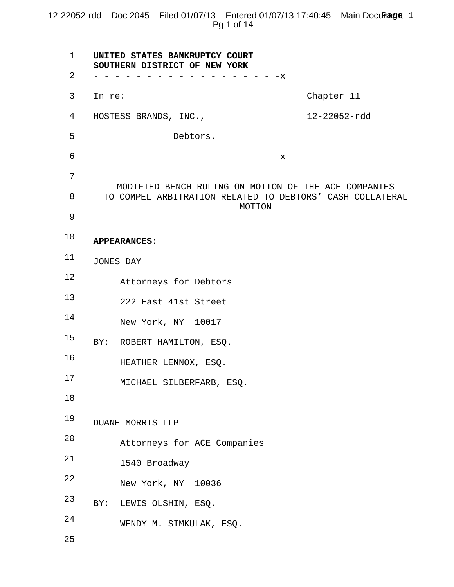# 12-22052-rdd Doc 2045 Filed 01/07/13 Entered 01/07/13 17:40:45 Main Document 1 Pg 1 of 14

| $\mathbf{1}$ | UNITED STATES BANKRUPTCY COURT<br>SOUTHERN DISTRICT OF NEW YORK                                                             |                             |              |  |
|--------------|-----------------------------------------------------------------------------------------------------------------------------|-----------------------------|--------------|--|
| 2            |                                                                                                                             | $- - - - -x$                |              |  |
| 3            | In re:                                                                                                                      |                             | Chapter 11   |  |
| 4            |                                                                                                                             | HOSTESS BRANDS, INC.,       | 12-22052-rdd |  |
| 5            |                                                                                                                             | Debtors.                    |              |  |
| 6            |                                                                                                                             | $- -x$                      |              |  |
| 7            |                                                                                                                             |                             |              |  |
| 8            | MODIFIED BENCH RULING ON MOTION OF THE ACE COMPANIES<br>TO COMPEL ARBITRATION RELATED TO DEBTORS' CASH COLLATERAL<br>MOTION |                             |              |  |
| 9            |                                                                                                                             |                             |              |  |
| 10           | <b>APPEARANCES:</b>                                                                                                         |                             |              |  |
| 11           | JONES DAY                                                                                                                   |                             |              |  |
| 12           |                                                                                                                             | Attorneys for Debtors       |              |  |
| 13           |                                                                                                                             | 222 East 41st Street        |              |  |
| 14           |                                                                                                                             | New York, NY 10017          |              |  |
| 15           | BY:                                                                                                                         | ROBERT HAMILTON, ESQ.       |              |  |
| 16           |                                                                                                                             | HEATHER LENNOX, ESQ.        |              |  |
| 17           |                                                                                                                             | MICHAEL SILBERFARB, ESQ.    |              |  |
| 18           |                                                                                                                             |                             |              |  |
| 19           |                                                                                                                             | DUANE MORRIS LLP            |              |  |
| 20           |                                                                                                                             | Attorneys for ACE Companies |              |  |
| 21           |                                                                                                                             | 1540 Broadway               |              |  |
| 22           |                                                                                                                             | New York, NY 10036          |              |  |
| 23           | BY:                                                                                                                         | LEWIS OLSHIN, ESQ.          |              |  |
| 24           |                                                                                                                             | WENDY M. SIMKULAK, ESQ.     |              |  |
| 25           |                                                                                                                             |                             |              |  |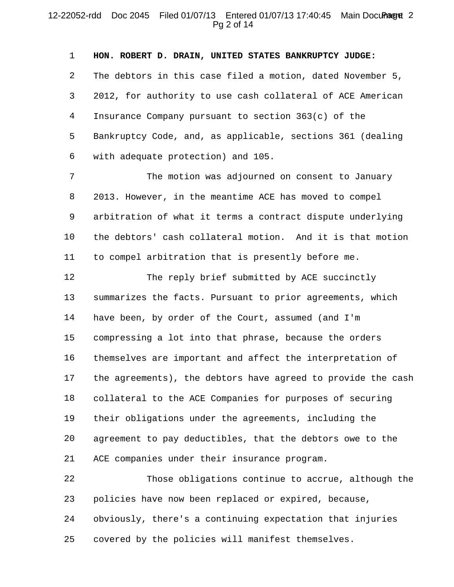## 12-22052-rdd Doc 2045 Filed 01/07/13 Entered 01/07/13 17:40:45 Main Document 2 Pg 2 of 14

1 2 3 4 5 6 **HON. ROBERT D. DRAIN, UNITED STATES BANKRUPTCY JUDGE:**  The debtors in this case filed a motion, dated November 5, 2012, for authority to use cash collateral of ACE American Insurance Company pursuant to section 363(c) of the Bankruptcy Code, and, as applicable, sections 361 (dealing with adequate protection) and 105.

7 8 9 10 11 The motion was adjourned on consent to January 2013. However, in the meantime ACE has moved to compel arbitration of what it terms a contract dispute underlying the debtors' cash collateral motion. And it is that motion to compel arbitration that is presently before me.

12 13 14 15 16 17 18 19 20 21 The reply brief submitted by ACE succinctly summarizes the facts. Pursuant to prior agreements, which have been, by order of the Court, assumed (and I'm compressing a lot into that phrase, because the orders themselves are important and affect the interpretation of the agreements), the debtors have agreed to provide the cash collateral to the ACE Companies for purposes of securing their obligations under the agreements, including the agreement to pay deductibles, that the debtors owe to the ACE companies under their insurance program.

22 23 24 25 Those obligations continue to accrue, although the policies have now been replaced or expired, because, obviously, there's a continuing expectation that injuries covered by the policies will manifest themselves.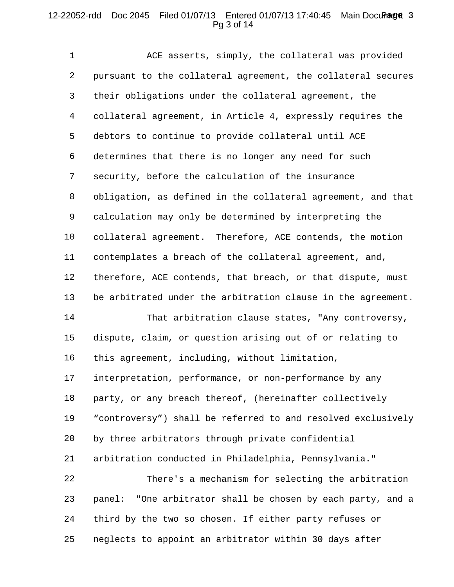# 12-22052-rdd Doc 2045 Filed 01/07/13 Entered 01/07/13 17:40:45 Main Document 3 Pg 3 of 14

1 2 3 4 5 6 7 8 9 10 11 12 13 14 ACE asserts, simply, the collateral was provided pursuant to the collateral agreement, the collateral secures their obligations under the collateral agreement, the collateral agreement, in Article 4, expressly requires the debtors to continue to provide collateral until ACE determines that there is no longer any need for such security, before the calculation of the insurance obligation, as defined in the collateral agreement, and that calculation may only be determined by interpreting the collateral agreement. Therefore, ACE contends, the motion contemplates a breach of the collateral agreement, and, therefore, ACE contends, that breach, or that dispute, must be arbitrated under the arbitration clause in the agreement. That arbitration clause states, "Any controversy,

15 16 dispute, claim, or question arising out of or relating to this agreement, including, without limitation,

17 18 19 20 21 interpretation, performance, or non-performance by any party, or any breach thereof, (hereinafter collectively "controversy") shall be referred to and resolved exclusively by three arbitrators through private confidential arbitration conducted in Philadelphia, Pennsylvania."

22 23 24 25 There's a mechanism for selecting the arbitration panel: "One arbitrator shall be chosen by each party, and a third by the two so chosen. If either party refuses or neglects to appoint an arbitrator within 30 days after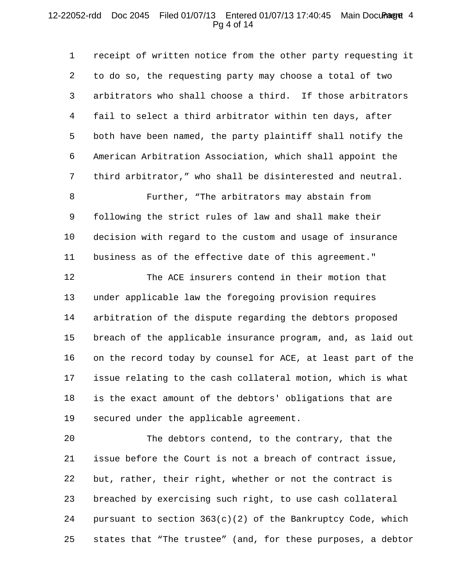## 12-22052-rdd Doc 2045 Filed 01/07/13 Entered 01/07/13 17:40:45 Main Document 4 Pg 4 of 14

1 2 3 4 5 6 7 8 9 10 receipt of written notice from the other party requesting it to do so, the requesting party may choose a total of two arbitrators who shall choose a third. If those arbitrators fail to select a third arbitrator within ten days, after both have been named, the party plaintiff shall notify the American Arbitration Association, which shall appoint the third arbitrator," who shall be disinterested and neutral. Further, "The arbitrators may abstain from following the strict rules of law and shall make their decision with regard to the custom and usage of insurance

11 business as of the effective date of this agreement."

12 13 14 15 16 17 18 19 The ACE insurers contend in their motion that under applicable law the foregoing provision requires arbitration of the dispute regarding the debtors proposed breach of the applicable insurance program, and, as laid out on the record today by counsel for ACE, at least part of the issue relating to the cash collateral motion, which is what is the exact amount of the debtors' obligations that are secured under the applicable agreement.

20 21 22 23 24 25 The debtors contend, to the contrary, that the issue before the Court is not a breach of contract issue, but, rather, their right, whether or not the contract is breached by exercising such right, to use cash collateral pursuant to section 363(c)(2) of the Bankruptcy Code, which states that "The trustee" (and, for these purposes, a debtor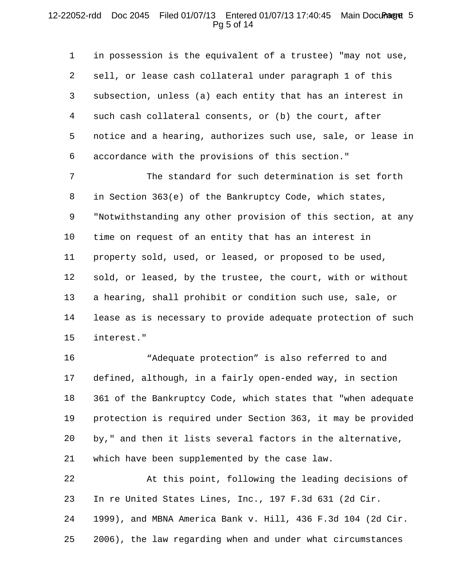# 12-22052-rdd Doc 2045 Filed 01/07/13 Entered 01/07/13 17:40:45 Main Document 5 Pg 5 of 14

1 2 3 4 5 6 in possession is the equivalent of a trustee) "may not use, sell, or lease cash collateral under paragraph 1 of this subsection, unless (a) each entity that has an interest in such cash collateral consents, or (b) the court, after notice and a hearing, authorizes such use, sale, or lease in accordance with the provisions of this section."

7 8 9 10 11 12 13 14 15 The standard for such determination is set forth in Section 363(e) of the Bankruptcy Code, which states, "Notwithstanding any other provision of this section, at any time on request of an entity that has an interest in property sold, used, or leased, or proposed to be used, sold, or leased, by the trustee, the court, with or without a hearing, shall prohibit or condition such use, sale, or lease as is necessary to provide adequate protection of such interest."

16 17 18 19 20 21 "Adequate protection" is also referred to and defined, although, in a fairly open-ended way, in section 361 of the Bankruptcy Code, which states that "when adequate protection is required under Section 363, it may be provided by," and then it lists several factors in the alternative, which have been supplemented by the case law.

22 23 24 25 At this point, following the leading decisions of In re United States Lines, Inc., 197 F.3d 631 (2d Cir. 1999), and MBNA America Bank v. Hill, 436 F.3d 104 (2d Cir. 2006), the law regarding when and under what circumstances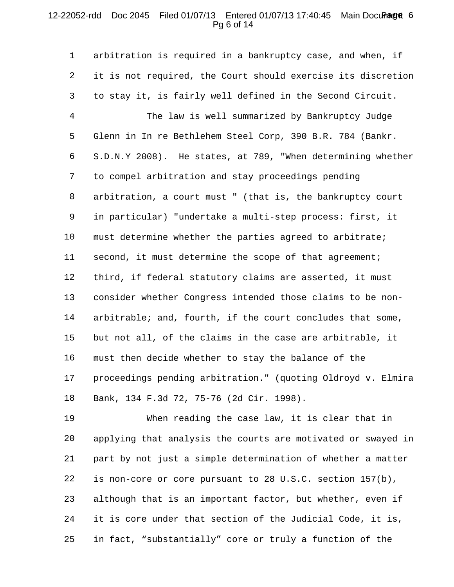## 12-22052-rdd Doc 2045 Filed 01/07/13 Entered 01/07/13 17:40:45 Main Document 6 Pg 6 of 14

1 2 3 4 5 6 7 8 9 10 11 12 13 14 15 16 17 18 arbitration is required in a bankruptcy case, and when, if it is not required, the Court should exercise its discretion to stay it, is fairly well defined in the Second Circuit. The law is well summarized by Bankruptcy Judge Glenn in In re Bethlehem Steel Corp, 390 B.R. 784 (Bankr. S.D.N.Y 2008). He states, at 789, "When determining whether to compel arbitration and stay proceedings pending arbitration, a court must " (that is, the bankruptcy court in particular) "undertake a multi-step process: first, it must determine whether the parties agreed to arbitrate; second, it must determine the scope of that agreement; third, if federal statutory claims are asserted, it must consider whether Congress intended those claims to be nonarbitrable; and, fourth, if the court concludes that some, but not all, of the claims in the case are arbitrable, it must then decide whether to stay the balance of the proceedings pending arbitration." (quoting Oldroyd v. Elmira Bank, 134 F.3d 72, 75-76 (2d Cir. 1998).

19 20 21 22 23 24 25 When reading the case law, it is clear that in applying that analysis the courts are motivated or swayed in part by not just a simple determination of whether a matter is non-core or core pursuant to 28 U.S.C. section 157(b), although that is an important factor, but whether, even if it is core under that section of the Judicial Code, it is, in fact, "substantially" core or truly a function of the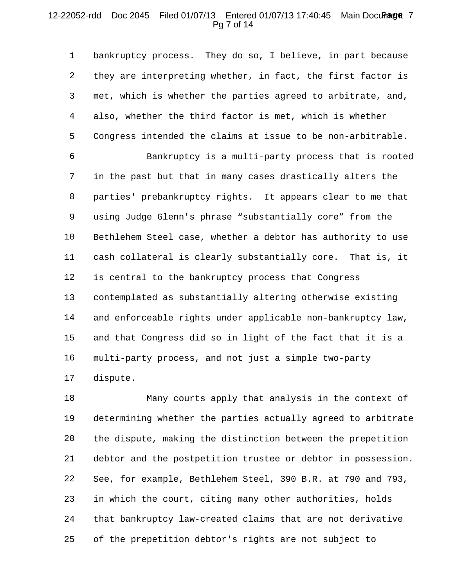# 12-22052-rdd Doc 2045 Filed 01/07/13 Entered 01/07/13 17:40:45 Main Document 7 Pg 7 of 14

1 2 3 4 5 bankruptcy process. They do so, I believe, in part because they are interpreting whether, in fact, the first factor is met, which is whether the parties agreed to arbitrate, and, also, whether the third factor is met, which is whether Congress intended the claims at issue to be non-arbitrable.

6 7 8 9 10 11 12 13 14 15 16 17 Bankruptcy is a multi-party process that is rooted in the past but that in many cases drastically alters the parties' prebankruptcy rights. It appears clear to me that using Judge Glenn's phrase "substantially core" from the Bethlehem Steel case, whether a debtor has authority to use cash collateral is clearly substantially core. That is, it is central to the bankruptcy process that Congress contemplated as substantially altering otherwise existing and enforceable rights under applicable non-bankruptcy law, and that Congress did so in light of the fact that it is a multi-party process, and not just a simple two-party dispute.

18 19 20 21 22 23 24 25 Many courts apply that analysis in the context of determining whether the parties actually agreed to arbitrate the dispute, making the distinction between the prepetition debtor and the postpetition trustee or debtor in possession. See, for example, Bethlehem Steel, 390 B.R. at 790 and 793, in which the court, citing many other authorities, holds that bankruptcy law-created claims that are not derivative of the prepetition debtor's rights are not subject to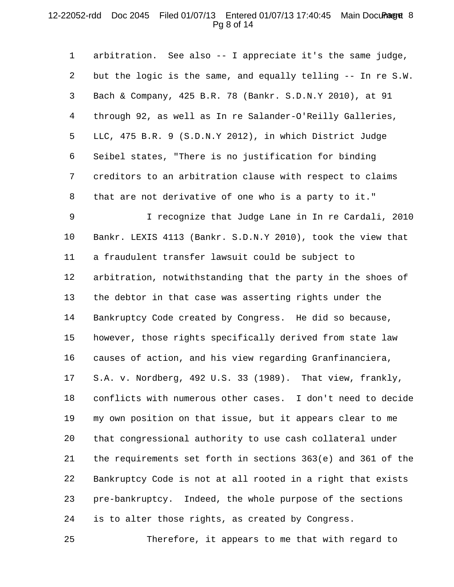## 12-22052-rdd Doc 2045 Filed 01/07/13 Entered 01/07/13 17:40:45 Main Document 8 Pg 8 of 14

1 2 3 4 5 6 7 8 arbitration. See also -- I appreciate it's the same judge, but the logic is the same, and equally telling -- In re S.W. Bach & Company, 425 B.R. 78 (Bankr. S.D.N.Y 2010), at 91 through 92, as well as In re Salander-O'Reilly Galleries, LLC, 475 B.R. 9 (S.D.N.Y 2012), in which District Judge Seibel states, "There is no justification for binding creditors to an arbitration clause with respect to claims that are not derivative of one who is a party to it."

9 10 11 12 13 14 15 16 17 18 19 20 21 22 23 24 I recognize that Judge Lane in In re Cardali, 2010 Bankr. LEXIS 4113 (Bankr. S.D.N.Y 2010), took the view that a fraudulent transfer lawsuit could be subject to arbitration, notwithstanding that the party in the shoes of the debtor in that case was asserting rights under the Bankruptcy Code created by Congress. He did so because, however, those rights specifically derived from state law causes of action, and his view regarding Granfinanciera, S.A. v. Nordberg, 492 U.S. 33 (1989). That view, frankly, conflicts with numerous other cases. I don't need to decide my own position on that issue, but it appears clear to me that congressional authority to use cash collateral under the requirements set forth in sections 363(e) and 361 of the Bankruptcy Code is not at all rooted in a right that exists pre-bankruptcy. Indeed, the whole purpose of the sections is to alter those rights, as created by Congress.

25 Therefore, it appears to me that with regard to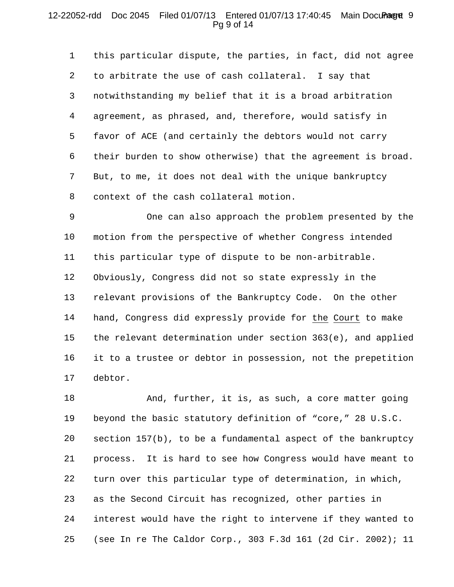## 12-22052-rdd Doc 2045 Filed 01/07/13 Entered 01/07/13 17:40:45 Main Document 9 Pg 9 of 14

1 2 3 4 5 6 7 8 this particular dispute, the parties, in fact, did not agree to arbitrate the use of cash collateral. I say that notwithstanding my belief that it is a broad arbitration agreement, as phrased, and, therefore, would satisfy in favor of ACE (and certainly the debtors would not carry their burden to show otherwise) that the agreement is broad. But, to me, it does not deal with the unique bankruptcy context of the cash collateral motion.

9 10 11 12 13 14 15 16 17 One can also approach the problem presented by the motion from the perspective of whether Congress intended this particular type of dispute to be non-arbitrable. Obviously, Congress did not so state expressly in the relevant provisions of the Bankruptcy Code. On the other hand, Congress did expressly provide for the Court to make the relevant determination under section 363(e), and applied it to a trustee or debtor in possession, not the prepetition debtor.

18 19 20 21 22 23 24 25 And, further, it is, as such, a core matter going beyond the basic statutory definition of "core," 28 U.S.C. section 157(b), to be a fundamental aspect of the bankruptcy process. It is hard to see how Congress would have meant to turn over this particular type of determination, in which, as the Second Circuit has recognized, other parties in interest would have the right to intervene if they wanted to (see In re The Caldor Corp., 303 F.3d 161 (2d Cir. 2002); 11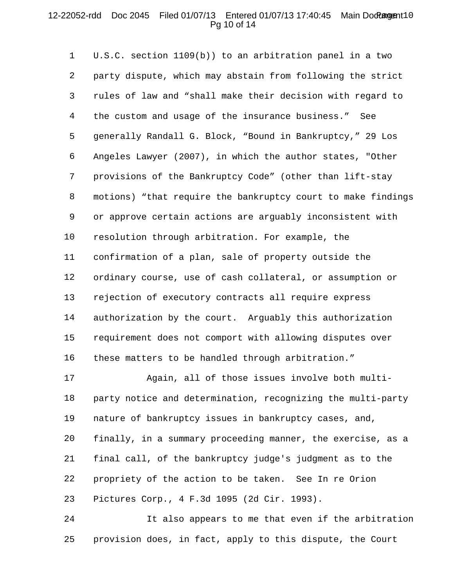## 12-22052-rdd Doc 2045 Filed 01/07/13 Entered 01/07/13 17:40:45 Main Document10 Pg 10 of 14

1 2 3 4 5 6 7 8 9 10 11 12 13 14 15 16 U.S.C. section 1109(b)) to an arbitration panel in a two party dispute, which may abstain from following the strict rules of law and "shall make their decision with regard to the custom and usage of the insurance business." See generally Randall G. Block, "Bound in Bankruptcy," 29 Los Angeles Lawyer (2007), in which the author states, "Other provisions of the Bankruptcy Code" (other than lift-stay motions) "that require the bankruptcy court to make findings or approve certain actions are arguably inconsistent with resolution through arbitration. For example, the confirmation of a plan, sale of property outside the ordinary course, use of cash collateral, or assumption or rejection of executory contracts all require express authorization by the court. Arguably this authorization requirement does not comport with allowing disputes over these matters to be handled through arbitration."

17 18 19 20 21 22 23 Again, all of those issues involve both multiparty notice and determination, recognizing the multi-party nature of bankruptcy issues in bankruptcy cases, and, finally, in a summary proceeding manner, the exercise, as a final call, of the bankruptcy judge's judgment as to the propriety of the action to be taken. See In re Orion Pictures Corp., 4 F.3d 1095 (2d Cir. 1993).

24 25 It also appears to me that even if the arbitration provision does, in fact, apply to this dispute, the Court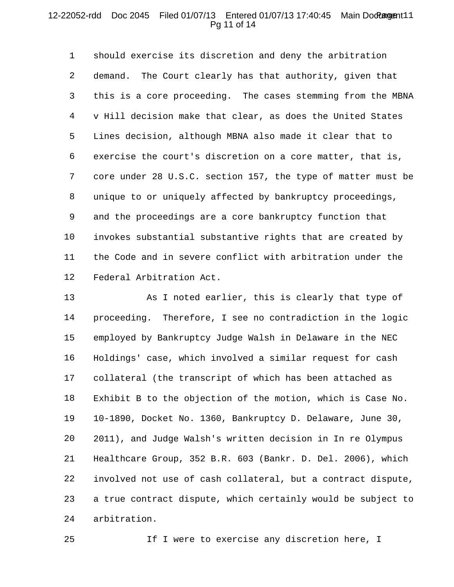## 12-22052-rdd Doc 2045 Filed 01/07/13 Entered 01/07/13 17:40:45 Main Document11 Pg 11 of 14

1 2 3 4 5 6 7 8 9 10 11 12 should exercise its discretion and deny the arbitration demand. The Court clearly has that authority, given that this is a core proceeding. The cases stemming from the MBNA v Hill decision make that clear, as does the United States Lines decision, although MBNA also made it clear that to exercise the court's discretion on a core matter, that is, core under 28 U.S.C. section 157, the type of matter must be unique to or uniquely affected by bankruptcy proceedings, and the proceedings are a core bankruptcy function that invokes substantial substantive rights that are created by the Code and in severe conflict with arbitration under the Federal Arbitration Act.

13 14 15 16 17 18 19 20 21 22 23 24 As I noted earlier, this is clearly that type of proceeding. Therefore, I see no contradiction in the logic employed by Bankruptcy Judge Walsh in Delaware in the NEC Holdings' case, which involved a similar request for cash collateral (the transcript of which has been attached as Exhibit B to the objection of the motion, which is Case No. 10-1890, Docket No. 1360, Bankruptcy D. Delaware, June 30, 2011), and Judge Walsh's written decision in In re Olympus Healthcare Group, 352 B.R. 603 (Bankr. D. Del. 2006), which involved not use of cash collateral, but a contract dispute, a true contract dispute, which certainly would be subject to arbitration.

25 If I were to exercise any discretion here, I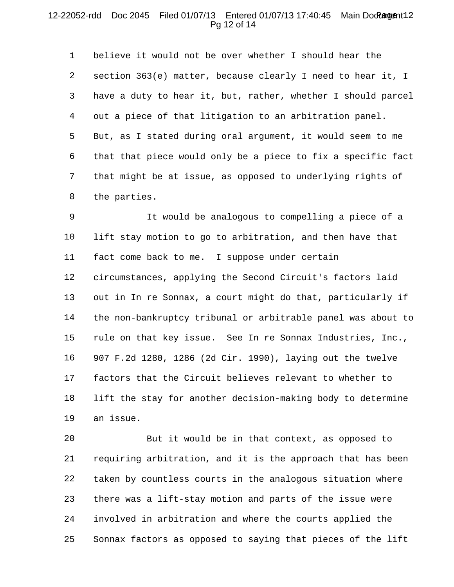#### 12-22052-rdd Doc 2045 Filed 01/07/13 Entered 01/07/13 17:40:45 Main Document12 Pg 12 of 14

1 2 3 4 5 6 7 8 believe it would not be over whether I should hear the section 363(e) matter, because clearly I need to hear it, I have a duty to hear it, but, rather, whether I should parcel out a piece of that litigation to an arbitration panel. But, as I stated during oral argument, it would seem to me that that piece would only be a piece to fix a specific fact that might be at issue, as opposed to underlying rights of the parties.

9 10 11 12 13 14 15 16 17 18 19 It would be analogous to compelling a piece of a lift stay motion to go to arbitration, and then have that fact come back to me. I suppose under certain circumstances, applying the Second Circuit's factors laid out in In re Sonnax, a court might do that, particularly if the non-bankruptcy tribunal or arbitrable panel was about to rule on that key issue. See In re Sonnax Industries, Inc., 907 F.2d 1280, 1286 (2d Cir. 1990), laying out the twelve factors that the Circuit believes relevant to whether to lift the stay for another decision-making body to determine an issue.

20 21 22 23 24 25 But it would be in that context, as opposed to requiring arbitration, and it is the approach that has been taken by countless courts in the analogous situation where there was a lift-stay motion and parts of the issue were involved in arbitration and where the courts applied the Sonnax factors as opposed to saying that pieces of the lift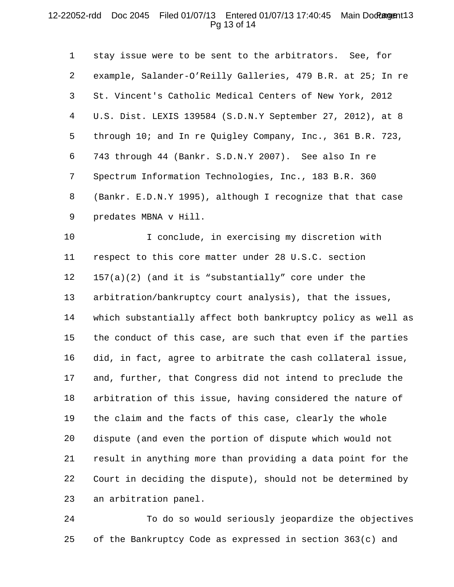## 12-22052-rdd Doc 2045 Filed 01/07/13 Entered 01/07/13 17:40:45 Main Document13 Pg 13 of 14

1 2 3 4 5 6 7 8 9 stay issue were to be sent to the arbitrators. See, for example, Salander-O'Reilly Galleries, 479 B.R. at 25; In re St. Vincent's Catholic Medical Centers of New York, 2012 U.S. Dist. LEXIS 139584 (S.D.N.Y September 27, 2012), at 8 through 10; and In re Quigley Company, Inc., 361 B.R. 723, 743 through 44 (Bankr. S.D.N.Y 2007). See also In re Spectrum Information Technologies, Inc., 183 B.R. 360 (Bankr. E.D.N.Y 1995), although I recognize that that case predates MBNA v Hill.

10 11 12 13 14 15 16 17 18 19 20 21 22 23 I conclude, in exercising my discretion with respect to this core matter under 28 U.S.C. section 157(a)(2) (and it is "substantially" core under the arbitration/bankruptcy court analysis), that the issues, which substantially affect both bankruptcy policy as well as the conduct of this case, are such that even if the parties did, in fact, agree to arbitrate the cash collateral issue, and, further, that Congress did not intend to preclude the arbitration of this issue, having considered the nature of the claim and the facts of this case, clearly the whole dispute (and even the portion of dispute which would not result in anything more than providing a data point for the Court in deciding the dispute), should not be determined by an arbitration panel.

24 25 To do so would seriously jeopardize the objectives of the Bankruptcy Code as expressed in section 363(c) and